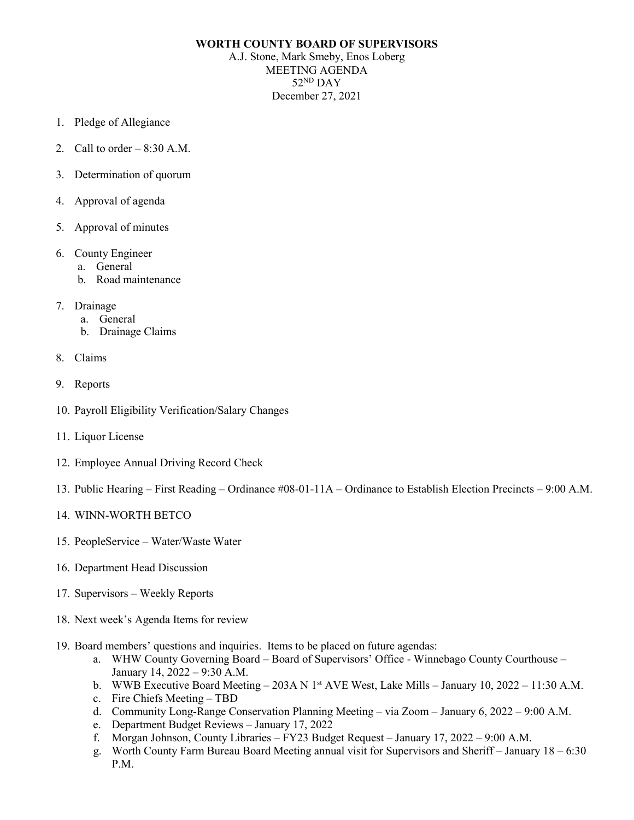## **WORTH COUNTY BOARD OF SUPERVISORS**

A.J. Stone, Mark Smeby, Enos Loberg MEETING AGENDA 52<sup>ND</sup> DAY December 27, 2021

- 1. Pledge of Allegiance
- 2. Call to order  $-8:30$  A.M.
- 3. Determination of quorum
- 4. Approval of agenda
- 5. Approval of minutes
- 6. County Engineer
	- a. General
	- b. Road maintenance
- 7. Drainage
	- a. General
	- b. Drainage Claims
- 8. Claims
- 9. Reports
- 10. Payroll Eligibility Verification/Salary Changes
- 11. Liquor License
- 12. Employee Annual Driving Record Check
- 13. Public Hearing First Reading Ordinance #08-01-11A Ordinance to Establish Election Precincts 9:00 A.M.
- 14. WINN-WORTH BETCO
- 15. PeopleService Water/Waste Water
- 16. Department Head Discussion
- 17. Supervisors Weekly Reports
- 18. Next week's Agenda Items for review
- 19. Board members' questions and inquiries. Items to be placed on future agendas:
	- a. WHW County Governing Board Board of Supervisors' Office Winnebago County Courthouse January 14, 2022 – 9:30 A.M.
	- b. WWB Executive Board Meeting 203A N 1<sup>st</sup> AVE West, Lake Mills January 10, 2022 11:30 A.M.
	- c. Fire Chiefs Meeting TBD
	- d. Community Long-Range Conservation Planning Meeting via Zoom January 6, 2022 9:00 A.M.
	- e. Department Budget Reviews January 17, 2022
	- f. Morgan Johnson, County Libraries FY23 Budget Request January 17, 2022 9:00 A.M.
	- g. Worth County Farm Bureau Board Meeting annual visit for Supervisors and Sheriff January 18 6:30 P.M.